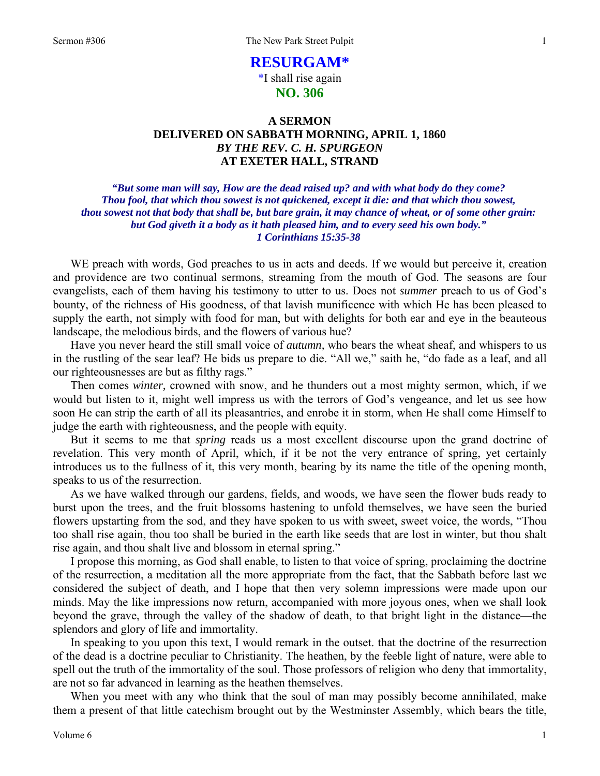# **RESURGAM\***

\*I shall rise again **NO. 306** 

## **A SERMON DELIVERED ON SABBATH MORNING, APRIL 1, 1860**  *BY THE REV. C. H. SPURGEON*  **AT EXETER HALL, STRAND**

### *"But some man will say, How are the dead raised up? and with what body do they come? Thou fool, that which thou sowest is not quickened, except it die: and that which thou sowest, thou sowest not that body that shall be, but bare grain, it may chance of wheat, or of some other grain: but God giveth it a body as it hath pleased him, and to every seed his own body." 1 Corinthians 15:35-38*

WE preach with words, God preaches to us in acts and deeds. If we would but perceive it, creation and providence are two continual sermons, streaming from the mouth of God. The seasons are four evangelists, each of them having his testimony to utter to us. Does not *summer* preach to us of God's bounty, of the richness of His goodness, of that lavish munificence with which He has been pleased to supply the earth, not simply with food for man, but with delights for both ear and eye in the beauteous landscape, the melodious birds, and the flowers of various hue?

Have you never heard the still small voice of *autumn,* who bears the wheat sheaf, and whispers to us in the rustling of the sear leaf? He bids us prepare to die. "All we," saith he, "do fade as a leaf, and all our righteousnesses are but as filthy rags."

Then comes *winter,* crowned with snow, and he thunders out a most mighty sermon, which, if we would but listen to it, might well impress us with the terrors of God's vengeance, and let us see how soon He can strip the earth of all its pleasantries, and enrobe it in storm, when He shall come Himself to judge the earth with righteousness, and the people with equity.

But it seems to me that *spring* reads us a most excellent discourse upon the grand doctrine of revelation. This very month of April, which, if it be not the very entrance of spring, yet certainly introduces us to the fullness of it, this very month, bearing by its name the title of the opening month, speaks to us of the resurrection.

As we have walked through our gardens, fields, and woods, we have seen the flower buds ready to burst upon the trees, and the fruit blossoms hastening to unfold themselves, we have seen the buried flowers upstarting from the sod, and they have spoken to us with sweet, sweet voice, the words, "Thou too shall rise again, thou too shall be buried in the earth like seeds that are lost in winter, but thou shalt rise again, and thou shalt live and blossom in eternal spring."

I propose this morning, as God shall enable, to listen to that voice of spring, proclaiming the doctrine of the resurrection, a meditation all the more appropriate from the fact, that the Sabbath before last we considered the subject of death, and I hope that then very solemn impressions were made upon our minds. May the like impressions now return, accompanied with more joyous ones, when we shall look beyond the grave, through the valley of the shadow of death, to that bright light in the distance—the splendors and glory of life and immortality.

In speaking to you upon this text, I would remark in the outset. that the doctrine of the resurrection of the dead is a doctrine peculiar to Christianity. The heathen, by the feeble light of nature, were able to spell out the truth of the immortality of the soul. Those professors of religion who deny that immortality, are not so far advanced in learning as the heathen themselves.

When you meet with any who think that the soul of man may possibly become annihilated, make them a present of that little catechism brought out by the Westminster Assembly, which bears the title,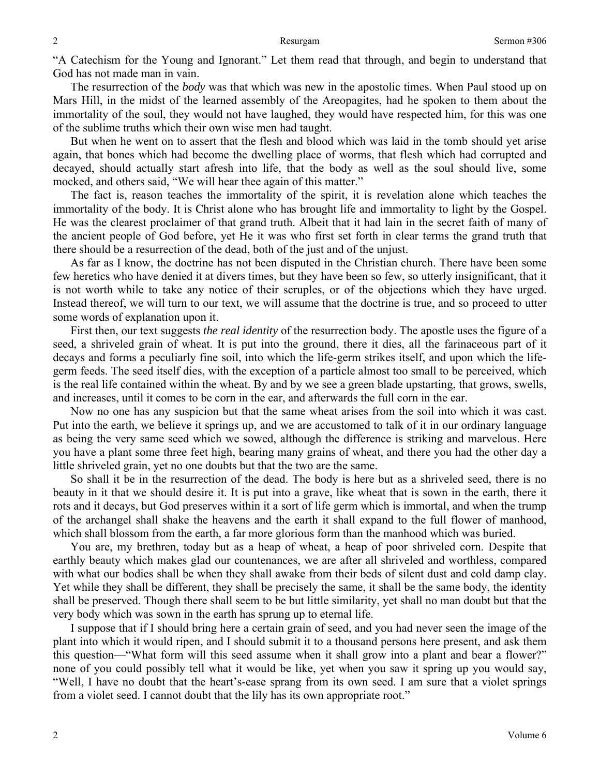"A Catechism for the Young and Ignorant." Let them read that through, and begin to understand that God has not made man in vain.

The resurrection of the *body* was that which was new in the apostolic times. When Paul stood up on Mars Hill, in the midst of the learned assembly of the Areopagites, had he spoken to them about the immortality of the soul, they would not have laughed, they would have respected him, for this was one of the sublime truths which their own wise men had taught.

But when he went on to assert that the flesh and blood which was laid in the tomb should yet arise again, that bones which had become the dwelling place of worms, that flesh which had corrupted and decayed, should actually start afresh into life, that the body as well as the soul should live, some mocked, and others said, "We will hear thee again of this matter."

The fact is, reason teaches the immortality of the spirit, it is revelation alone which teaches the immortality of the body. It is Christ alone who has brought life and immortality to light by the Gospel. He was the clearest proclaimer of that grand truth. Albeit that it had lain in the secret faith of many of the ancient people of God before, yet He it was who first set forth in clear terms the grand truth that there should be a resurrection of the dead, both of the just and of the unjust.

As far as I know, the doctrine has not been disputed in the Christian church. There have been some few heretics who have denied it at divers times, but they have been so few, so utterly insignificant, that it is not worth while to take any notice of their scruples, or of the objections which they have urged. Instead thereof, we will turn to our text, we will assume that the doctrine is true, and so proceed to utter some words of explanation upon it.

First then, our text suggests *the real identity* of the resurrection body. The apostle uses the figure of a seed, a shriveled grain of wheat. It is put into the ground, there it dies, all the farinaceous part of it decays and forms a peculiarly fine soil, into which the life-germ strikes itself, and upon which the lifegerm feeds. The seed itself dies, with the exception of a particle almost too small to be perceived, which is the real life contained within the wheat. By and by we see a green blade upstarting, that grows, swells, and increases, until it comes to be corn in the ear, and afterwards the full corn in the ear.

Now no one has any suspicion but that the same wheat arises from the soil into which it was cast. Put into the earth, we believe it springs up, and we are accustomed to talk of it in our ordinary language as being the very same seed which we sowed, although the difference is striking and marvelous. Here you have a plant some three feet high, bearing many grains of wheat, and there you had the other day a little shriveled grain, yet no one doubts but that the two are the same.

So shall it be in the resurrection of the dead. The body is here but as a shriveled seed, there is no beauty in it that we should desire it. It is put into a grave, like wheat that is sown in the earth, there it rots and it decays, but God preserves within it a sort of life germ which is immortal, and when the trump of the archangel shall shake the heavens and the earth it shall expand to the full flower of manhood, which shall blossom from the earth, a far more glorious form than the manhood which was buried.

You are, my brethren, today but as a heap of wheat, a heap of poor shriveled corn. Despite that earthly beauty which makes glad our countenances, we are after all shriveled and worthless, compared with what our bodies shall be when they shall awake from their beds of silent dust and cold damp clay. Yet while they shall be different, they shall be precisely the same, it shall be the same body, the identity shall be preserved. Though there shall seem to be but little similarity, yet shall no man doubt but that the very body which was sown in the earth has sprung up to eternal life.

I suppose that if I should bring here a certain grain of seed, and you had never seen the image of the plant into which it would ripen, and I should submit it to a thousand persons here present, and ask them this question—"What form will this seed assume when it shall grow into a plant and bear a flower?" none of you could possibly tell what it would be like, yet when you saw it spring up you would say, "Well, I have no doubt that the heart's-ease sprang from its own seed. I am sure that a violet springs from a violet seed. I cannot doubt that the lily has its own appropriate root."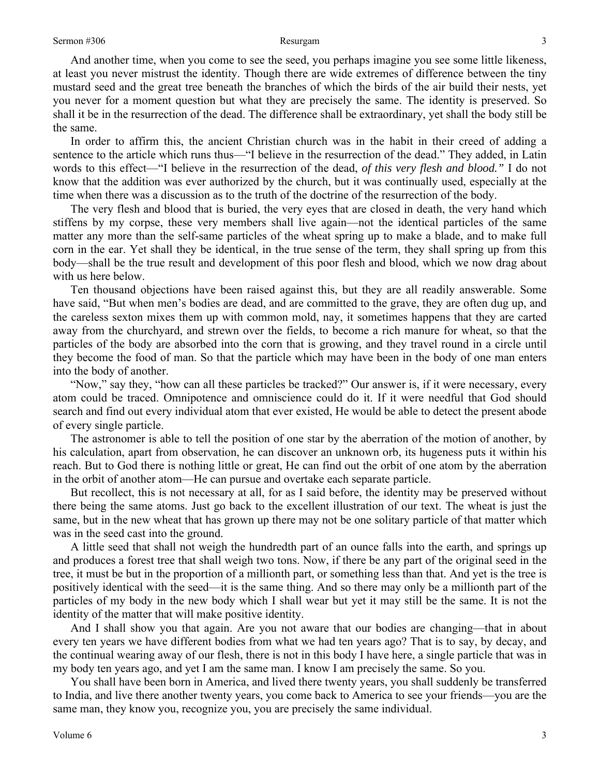And another time, when you come to see the seed, you perhaps imagine you see some little likeness, at least you never mistrust the identity. Though there are wide extremes of difference between the tiny mustard seed and the great tree beneath the branches of which the birds of the air build their nests, yet you never for a moment question but what they are precisely the same. The identity is preserved. So shall it be in the resurrection of the dead. The difference shall be extraordinary, yet shall the body still be the same.

In order to affirm this, the ancient Christian church was in the habit in their creed of adding a sentence to the article which runs thus—"I believe in the resurrection of the dead." They added, in Latin words to this effect—"I believe in the resurrection of the dead, *of this very flesh and blood."* I do not know that the addition was ever authorized by the church, but it was continually used, especially at the time when there was a discussion as to the truth of the doctrine of the resurrection of the body.

The very flesh and blood that is buried, the very eyes that are closed in death, the very hand which stiffens by my corpse, these very members shall live again—not the identical particles of the same matter any more than the self-same particles of the wheat spring up to make a blade, and to make full corn in the ear. Yet shall they be identical, in the true sense of the term, they shall spring up from this body—shall be the true result and development of this poor flesh and blood, which we now drag about with us here below.

Ten thousand objections have been raised against this, but they are all readily answerable. Some have said, "But when men's bodies are dead, and are committed to the grave, they are often dug up, and the careless sexton mixes them up with common mold, nay, it sometimes happens that they are carted away from the churchyard, and strewn over the fields, to become a rich manure for wheat, so that the particles of the body are absorbed into the corn that is growing, and they travel round in a circle until they become the food of man. So that the particle which may have been in the body of one man enters into the body of another.

"Now," say they, "how can all these particles be tracked?" Our answer is, if it were necessary, every atom could be traced. Omnipotence and omniscience could do it. If it were needful that God should search and find out every individual atom that ever existed, He would be able to detect the present abode of every single particle.

The astronomer is able to tell the position of one star by the aberration of the motion of another, by his calculation, apart from observation, he can discover an unknown orb, its hugeness puts it within his reach. But to God there is nothing little or great, He can find out the orbit of one atom by the aberration in the orbit of another atom—He can pursue and overtake each separate particle.

But recollect, this is not necessary at all, for as I said before, the identity may be preserved without there being the same atoms. Just go back to the excellent illustration of our text. The wheat is just the same, but in the new wheat that has grown up there may not be one solitary particle of that matter which was in the seed cast into the ground.

A little seed that shall not weigh the hundredth part of an ounce falls into the earth, and springs up and produces a forest tree that shall weigh two tons. Now, if there be any part of the original seed in the tree, it must be but in the proportion of a millionth part, or something less than that. And yet is the tree is positively identical with the seed—it is the same thing. And so there may only be a millionth part of the particles of my body in the new body which I shall wear but yet it may still be the same. It is not the identity of the matter that will make positive identity.

And I shall show you that again. Are you not aware that our bodies are changing—that in about every ten years we have different bodies from what we had ten years ago? That is to say, by decay, and the continual wearing away of our flesh, there is not in this body I have here, a single particle that was in my body ten years ago, and yet I am the same man. I know I am precisely the same. So you.

You shall have been born in America, and lived there twenty years, you shall suddenly be transferred to India, and live there another twenty years, you come back to America to see your friends—you are the same man, they know you, recognize you, you are precisely the same individual.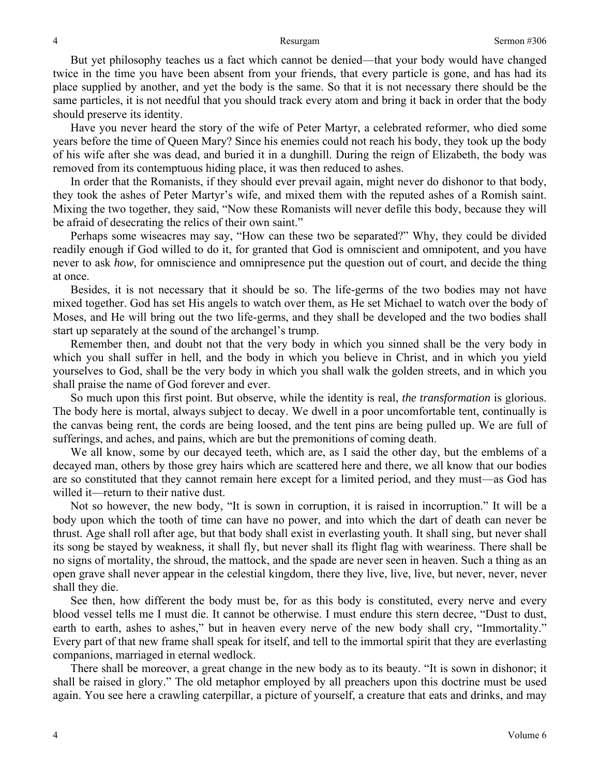But yet philosophy teaches us a fact which cannot be denied—that your body would have changed twice in the time you have been absent from your friends, that every particle is gone, and has had its place supplied by another, and yet the body is the same. So that it is not necessary there should be the same particles, it is not needful that you should track every atom and bring it back in order that the body should preserve its identity.

Have you never heard the story of the wife of Peter Martyr, a celebrated reformer, who died some years before the time of Queen Mary? Since his enemies could not reach his body, they took up the body of his wife after she was dead, and buried it in a dunghill. During the reign of Elizabeth, the body was removed from its contemptuous hiding place, it was then reduced to ashes.

In order that the Romanists, if they should ever prevail again, might never do dishonor to that body, they took the ashes of Peter Martyr's wife, and mixed them with the reputed ashes of a Romish saint. Mixing the two together, they said, "Now these Romanists will never defile this body, because they will be afraid of desecrating the relics of their own saint."

Perhaps some wiseacres may say, "How can these two be separated?" Why, they could be divided readily enough if God willed to do it, for granted that God is omniscient and omnipotent, and you have never to ask *how,* for omniscience and omnipresence put the question out of court, and decide the thing at once.

Besides, it is not necessary that it should be so. The life-germs of the two bodies may not have mixed together. God has set His angels to watch over them, as He set Michael to watch over the body of Moses, and He will bring out the two life-germs, and they shall be developed and the two bodies shall start up separately at the sound of the archangel's trump.

Remember then, and doubt not that the very body in which you sinned shall be the very body in which you shall suffer in hell, and the body in which you believe in Christ, and in which you yield yourselves to God, shall be the very body in which you shall walk the golden streets, and in which you shall praise the name of God forever and ever.

So much upon this first point. But observe, while the identity is real, *the transformation* is glorious. The body here is mortal, always subject to decay. We dwell in a poor uncomfortable tent, continually is the canvas being rent, the cords are being loosed, and the tent pins are being pulled up. We are full of sufferings, and aches, and pains, which are but the premonitions of coming death.

We all know, some by our decayed teeth, which are, as I said the other day, but the emblems of a decayed man, others by those grey hairs which are scattered here and there, we all know that our bodies are so constituted that they cannot remain here except for a limited period, and they must—as God has willed it—return to their native dust.

Not so however, the new body, "It is sown in corruption, it is raised in incorruption." It will be a body upon which the tooth of time can have no power, and into which the dart of death can never be thrust. Age shall roll after age, but that body shall exist in everlasting youth. It shall sing, but never shall its song be stayed by weakness, it shall fly, but never shall its flight flag with weariness. There shall be no signs of mortality, the shroud, the mattock, and the spade are never seen in heaven. Such a thing as an open grave shall never appear in the celestial kingdom, there they live, live, live, but never, never, never shall they die.

See then, how different the body must be, for as this body is constituted, every nerve and every blood vessel tells me I must die. It cannot be otherwise. I must endure this stern decree, "Dust to dust, earth to earth, ashes to ashes," but in heaven every nerve of the new body shall cry, "Immortality." Every part of that new frame shall speak for itself, and tell to the immortal spirit that they are everlasting companions, marriaged in eternal wedlock.

There shall be moreover, a great change in the new body as to its beauty. "It is sown in dishonor; it shall be raised in glory." The old metaphor employed by all preachers upon this doctrine must be used again. You see here a crawling caterpillar, a picture of yourself, a creature that eats and drinks, and may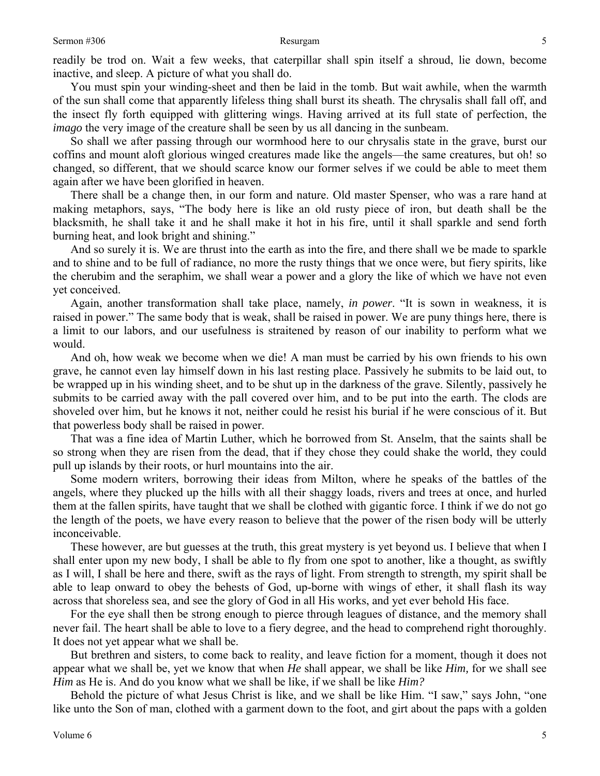readily be trod on. Wait a few weeks, that caterpillar shall spin itself a shroud, lie down, become inactive, and sleep. A picture of what you shall do.

You must spin your winding-sheet and then be laid in the tomb. But wait awhile, when the warmth of the sun shall come that apparently lifeless thing shall burst its sheath. The chrysalis shall fall off, and the insect fly forth equipped with glittering wings. Having arrived at its full state of perfection, the *imago* the very image of the creature shall be seen by us all dancing in the sunbeam.

So shall we after passing through our wormhood here to our chrysalis state in the grave, burst our coffins and mount aloft glorious winged creatures made like the angels—the same creatures, but oh! so changed, so different, that we should scarce know our former selves if we could be able to meet them again after we have been glorified in heaven.

There shall be a change then, in our form and nature. Old master Spenser, who was a rare hand at making metaphors, says, "The body here is like an old rusty piece of iron, but death shall be the blacksmith, he shall take it and he shall make it hot in his fire, until it shall sparkle and send forth burning heat, and look bright and shining."

And so surely it is. We are thrust into the earth as into the fire, and there shall we be made to sparkle and to shine and to be full of radiance, no more the rusty things that we once were, but fiery spirits, like the cherubim and the seraphim, we shall wear a power and a glory the like of which we have not even yet conceived.

Again, another transformation shall take place, namely, *in power*. "It is sown in weakness, it is raised in power." The same body that is weak, shall be raised in power. We are puny things here, there is a limit to our labors, and our usefulness is straitened by reason of our inability to perform what we would.

And oh, how weak we become when we die! A man must be carried by his own friends to his own grave, he cannot even lay himself down in his last resting place. Passively he submits to be laid out, to be wrapped up in his winding sheet, and to be shut up in the darkness of the grave. Silently, passively he submits to be carried away with the pall covered over him, and to be put into the earth. The clods are shoveled over him, but he knows it not, neither could he resist his burial if he were conscious of it. But that powerless body shall be raised in power.

That was a fine idea of Martin Luther, which he borrowed from St. Anselm, that the saints shall be so strong when they are risen from the dead, that if they chose they could shake the world, they could pull up islands by their roots, or hurl mountains into the air.

Some modern writers, borrowing their ideas from Milton, where he speaks of the battles of the angels, where they plucked up the hills with all their shaggy loads, rivers and trees at once, and hurled them at the fallen spirits, have taught that we shall be clothed with gigantic force. I think if we do not go the length of the poets, we have every reason to believe that the power of the risen body will be utterly inconceivable.

These however, are but guesses at the truth, this great mystery is yet beyond us. I believe that when I shall enter upon my new body, I shall be able to fly from one spot to another, like a thought, as swiftly as I will, I shall be here and there, swift as the rays of light. From strength to strength, my spirit shall be able to leap onward to obey the behests of God, up-borne with wings of ether, it shall flash its way across that shoreless sea, and see the glory of God in all His works, and yet ever behold His face.

For the eye shall then be strong enough to pierce through leagues of distance, and the memory shall never fail. The heart shall be able to love to a fiery degree, and the head to comprehend right thoroughly. It does not yet appear what we shall be.

But brethren and sisters, to come back to reality, and leave fiction for a moment, though it does not appear what we shall be, yet we know that when *He* shall appear, we shall be like *Him,* for we shall see *Him* as He is. And do you know what we shall be like, if we shall be like *Him?*

Behold the picture of what Jesus Christ is like, and we shall be like Him. "I saw," says John, "one like unto the Son of man, clothed with a garment down to the foot, and girt about the paps with a golden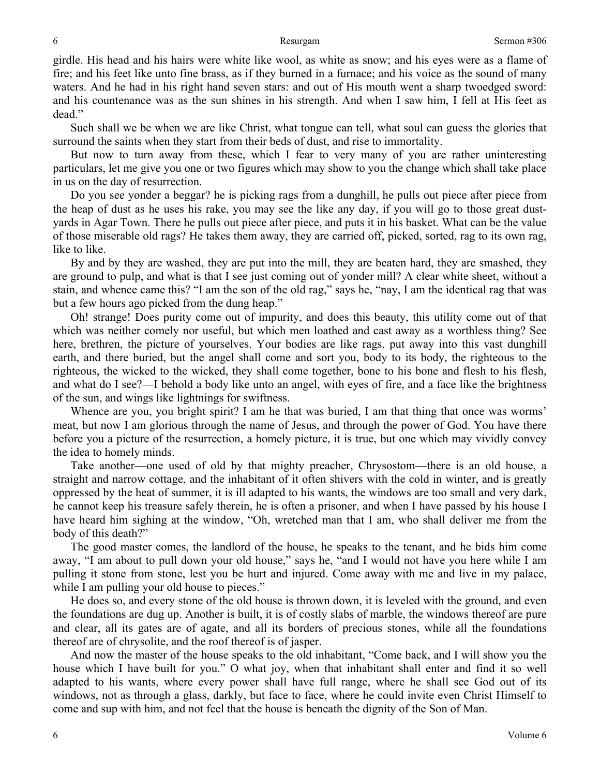girdle. His head and his hairs were white like wool, as white as snow; and his eyes were as a flame of fire; and his feet like unto fine brass, as if they burned in a furnace; and his voice as the sound of many waters. And he had in his right hand seven stars: and out of His mouth went a sharp twoedged sword: and his countenance was as the sun shines in his strength. And when I saw him, I fell at His feet as dead."

Such shall we be when we are like Christ, what tongue can tell, what soul can guess the glories that surround the saints when they start from their beds of dust, and rise to immortality.

But now to turn away from these, which I fear to very many of you are rather uninteresting particulars, let me give you one or two figures which may show to you the change which shall take place in us on the day of resurrection.

Do you see yonder a beggar? he is picking rags from a dunghill, he pulls out piece after piece from the heap of dust as he uses his rake, you may see the like any day, if you will go to those great dustyards in Agar Town. There he pulls out piece after piece, and puts it in his basket. What can be the value of those miserable old rags? He takes them away, they are carried off, picked, sorted, rag to its own rag, like to like.

By and by they are washed, they are put into the mill, they are beaten hard, they are smashed, they are ground to pulp, and what is that I see just coming out of yonder mill? A clear white sheet, without a stain, and whence came this? "I am the son of the old rag," says he, "nay, I am the identical rag that was but a few hours ago picked from the dung heap."

Oh! strange! Does purity come out of impurity, and does this beauty, this utility come out of that which was neither comely nor useful, but which men loathed and cast away as a worthless thing? See here, brethren, the picture of yourselves. Your bodies are like rags, put away into this vast dunghill earth, and there buried, but the angel shall come and sort you, body to its body, the righteous to the righteous, the wicked to the wicked, they shall come together, bone to his bone and flesh to his flesh, and what do I see?—I behold a body like unto an angel, with eyes of fire, and a face like the brightness of the sun, and wings like lightnings for swiftness.

Whence are you, you bright spirit? I am he that was buried, I am that thing that once was worms' meat, but now I am glorious through the name of Jesus, and through the power of God. You have there before you a picture of the resurrection, a homely picture, it is true, but one which may vividly convey the idea to homely minds.

Take another—one used of old by that mighty preacher, Chrysostom—there is an old house, a straight and narrow cottage, and the inhabitant of it often shivers with the cold in winter, and is greatly oppressed by the heat of summer, it is ill adapted to his wants, the windows are too small and very dark, he cannot keep his treasure safely therein, he is often a prisoner, and when I have passed by his house I have heard him sighing at the window, "Oh, wretched man that I am, who shall deliver me from the body of this death?"

The good master comes, the landlord of the house, he speaks to the tenant, and he bids him come away, "I am about to pull down your old house," says he, "and I would not have you here while I am pulling it stone from stone, lest you be hurt and injured. Come away with me and live in my palace, while I am pulling your old house to pieces."

He does so, and every stone of the old house is thrown down, it is leveled with the ground, and even the foundations are dug up. Another is built, it is of costly slabs of marble, the windows thereof are pure and clear, all its gates are of agate, and all its borders of precious stones, while all the foundations thereof are of chrysolite, and the roof thereof is of jasper.

And now the master of the house speaks to the old inhabitant, "Come back, and I will show you the house which I have built for you." O what joy, when that inhabitant shall enter and find it so well adapted to his wants, where every power shall have full range, where he shall see God out of its windows, not as through a glass, darkly, but face to face, where he could invite even Christ Himself to come and sup with him, and not feel that the house is beneath the dignity of the Son of Man.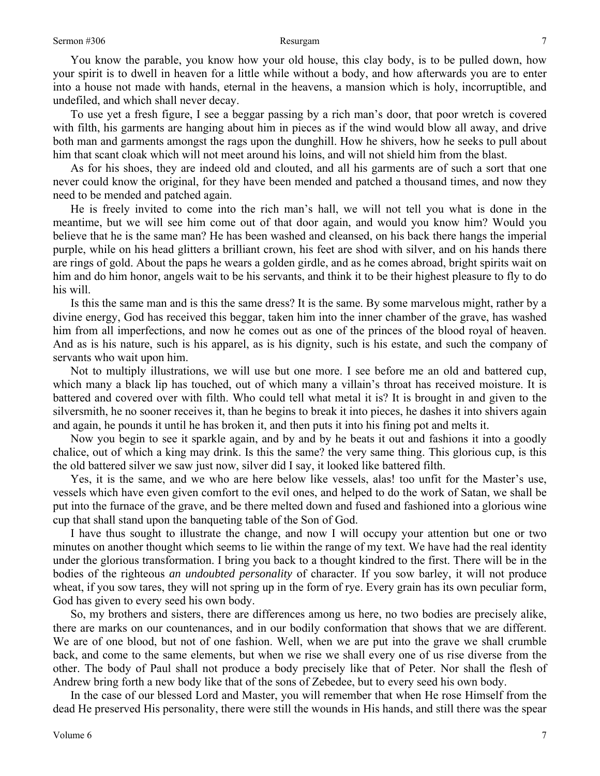You know the parable, you know how your old house, this clay body, is to be pulled down, how your spirit is to dwell in heaven for a little while without a body, and how afterwards you are to enter into a house not made with hands, eternal in the heavens, a mansion which is holy, incorruptible, and undefiled, and which shall never decay.

To use yet a fresh figure, I see a beggar passing by a rich man's door, that poor wretch is covered with filth, his garments are hanging about him in pieces as if the wind would blow all away, and drive both man and garments amongst the rags upon the dunghill. How he shivers, how he seeks to pull about him that scant cloak which will not meet around his loins, and will not shield him from the blast.

As for his shoes, they are indeed old and clouted, and all his garments are of such a sort that one never could know the original, for they have been mended and patched a thousand times, and now they need to be mended and patched again.

He is freely invited to come into the rich man's hall, we will not tell you what is done in the meantime, but we will see him come out of that door again, and would you know him? Would you believe that he is the same man? He has been washed and cleansed, on his back there hangs the imperial purple, while on his head glitters a brilliant crown, his feet are shod with silver, and on his hands there are rings of gold. About the paps he wears a golden girdle, and as he comes abroad, bright spirits wait on him and do him honor, angels wait to be his servants, and think it to be their highest pleasure to fly to do his will.

Is this the same man and is this the same dress? It is the same. By some marvelous might, rather by a divine energy, God has received this beggar, taken him into the inner chamber of the grave, has washed him from all imperfections, and now he comes out as one of the princes of the blood royal of heaven. And as is his nature, such is his apparel, as is his dignity, such is his estate, and such the company of servants who wait upon him.

Not to multiply illustrations, we will use but one more. I see before me an old and battered cup, which many a black lip has touched, out of which many a villain's throat has received moisture. It is battered and covered over with filth. Who could tell what metal it is? It is brought in and given to the silversmith, he no sooner receives it, than he begins to break it into pieces, he dashes it into shivers again and again, he pounds it until he has broken it, and then puts it into his fining pot and melts it.

Now you begin to see it sparkle again, and by and by he beats it out and fashions it into a goodly chalice, out of which a king may drink. Is this the same? the very same thing. This glorious cup, is this the old battered silver we saw just now, silver did I say, it looked like battered filth.

Yes, it is the same, and we who are here below like vessels, alas! too unfit for the Master's use, vessels which have even given comfort to the evil ones, and helped to do the work of Satan, we shall be put into the furnace of the grave, and be there melted down and fused and fashioned into a glorious wine cup that shall stand upon the banqueting table of the Son of God.

I have thus sought to illustrate the change, and now I will occupy your attention but one or two minutes on another thought which seems to lie within the range of my text. We have had the real identity under the glorious transformation. I bring you back to a thought kindred to the first. There will be in the bodies of the righteous *an undoubted personality* of character. If you sow barley, it will not produce wheat, if you sow tares, they will not spring up in the form of rye. Every grain has its own peculiar form, God has given to every seed his own body.

So, my brothers and sisters, there are differences among us here, no two bodies are precisely alike, there are marks on our countenances, and in our bodily conformation that shows that we are different. We are of one blood, but not of one fashion. Well, when we are put into the grave we shall crumble back, and come to the same elements, but when we rise we shall every one of us rise diverse from the other. The body of Paul shall not produce a body precisely like that of Peter. Nor shall the flesh of Andrew bring forth a new body like that of the sons of Zebedee, but to every seed his own body.

In the case of our blessed Lord and Master, you will remember that when He rose Himself from the dead He preserved His personality, there were still the wounds in His hands, and still there was the spear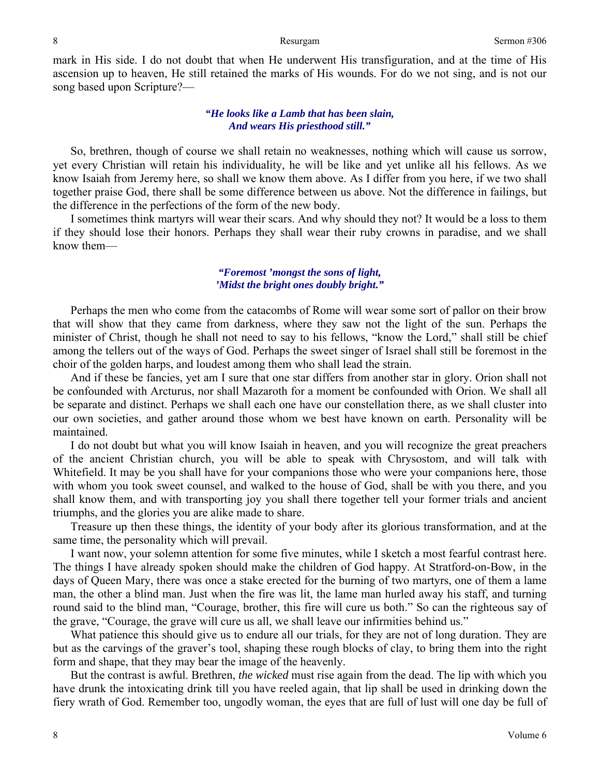mark in His side. I do not doubt that when He underwent His transfiguration, and at the time of His ascension up to heaven, He still retained the marks of His wounds. For do we not sing, and is not our song based upon Scripture?—

### *"He looks like a Lamb that has been slain, And wears His priesthood still."*

So, brethren, though of course we shall retain no weaknesses, nothing which will cause us sorrow, yet every Christian will retain his individuality, he will be like and yet unlike all his fellows. As we know Isaiah from Jeremy here, so shall we know them above. As I differ from you here, if we two shall together praise God, there shall be some difference between us above. Not the difference in failings, but the difference in the perfections of the form of the new body.

I sometimes think martyrs will wear their scars. And why should they not? It would be a loss to them if they should lose their honors. Perhaps they shall wear their ruby crowns in paradise, and we shall know them—

### *"Foremost 'mongst the sons of light, 'Midst the bright ones doubly bright."*

Perhaps the men who come from the catacombs of Rome will wear some sort of pallor on their brow that will show that they came from darkness, where they saw not the light of the sun. Perhaps the minister of Christ, though he shall not need to say to his fellows, "know the Lord," shall still be chief among the tellers out of the ways of God. Perhaps the sweet singer of Israel shall still be foremost in the choir of the golden harps, and loudest among them who shall lead the strain.

And if these be fancies, yet am I sure that one star differs from another star in glory. Orion shall not be confounded with Arcturus, nor shall Mazaroth for a moment be confounded with Orion. We shall all be separate and distinct. Perhaps we shall each one have our constellation there, as we shall cluster into our own societies, and gather around those whom we best have known on earth. Personality will be maintained.

I do not doubt but what you will know Isaiah in heaven, and you will recognize the great preachers of the ancient Christian church, you will be able to speak with Chrysostom, and will talk with Whitefield. It may be you shall have for your companions those who were your companions here, those with whom you took sweet counsel, and walked to the house of God, shall be with you there, and you shall know them, and with transporting joy you shall there together tell your former trials and ancient triumphs, and the glories you are alike made to share.

Treasure up then these things, the identity of your body after its glorious transformation, and at the same time, the personality which will prevail.

I want now, your solemn attention for some five minutes, while I sketch a most fearful contrast here. The things I have already spoken should make the children of God happy. At Stratford-on-Bow, in the days of Queen Mary, there was once a stake erected for the burning of two martyrs, one of them a lame man, the other a blind man. Just when the fire was lit, the lame man hurled away his staff, and turning round said to the blind man, "Courage, brother, this fire will cure us both." So can the righteous say of the grave, "Courage, the grave will cure us all, we shall leave our infirmities behind us."

What patience this should give us to endure all our trials, for they are not of long duration. They are but as the carvings of the graver's tool, shaping these rough blocks of clay, to bring them into the right form and shape, that they may bear the image of the heavenly.

But the contrast is awful. Brethren, *the wicked* must rise again from the dead. The lip with which you have drunk the intoxicating drink till you have reeled again, that lip shall be used in drinking down the fiery wrath of God. Remember too, ungodly woman, the eyes that are full of lust will one day be full of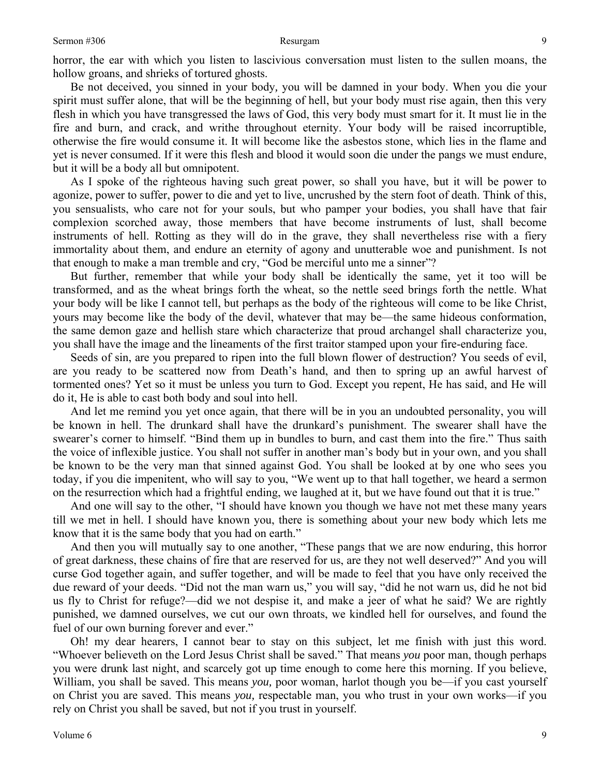horror, the ear with which you listen to lascivious conversation must listen to the sullen moans, the hollow groans, and shrieks of tortured ghosts.

Be not deceived, you sinned in your body*,* you will be damned in your body. When you die your spirit must suffer alone, that will be the beginning of hell, but your body must rise again, then this very flesh in which you have transgressed the laws of God, this very body must smart for it. It must lie in the fire and burn, and crack, and writhe throughout eternity. Your body will be raised incorruptible*,* otherwise the fire would consume it. It will become like the asbestos stone, which lies in the flame and yet is never consumed. If it were this flesh and blood it would soon die under the pangs we must endure, but it will be a body all but omnipotent.

As I spoke of the righteous having such great power, so shall you have, but it will be power to agonize, power to suffer, power to die and yet to live, uncrushed by the stern foot of death. Think of this, you sensualists, who care not for your souls, but who pamper your bodies, you shall have that fair complexion scorched away, those members that have become instruments of lust, shall become instruments of hell. Rotting as they will do in the grave, they shall nevertheless rise with a fiery immortality about them, and endure an eternity of agony and unutterable woe and punishment. Is not that enough to make a man tremble and cry, "God be merciful unto me a sinner"?

But further, remember that while your body shall be identically the same, yet it too will be transformed, and as the wheat brings forth the wheat, so the nettle seed brings forth the nettle. What your body will be like I cannot tell, but perhaps as the body of the righteous will come to be like Christ, yours may become like the body of the devil, whatever that may be—the same hideous conformation, the same demon gaze and hellish stare which characterize that proud archangel shall characterize you, you shall have the image and the lineaments of the first traitor stamped upon your fire-enduring face.

Seeds of sin, are you prepared to ripen into the full blown flower of destruction? You seeds of evil, are you ready to be scattered now from Death's hand, and then to spring up an awful harvest of tormented ones? Yet so it must be unless you turn to God. Except you repent, He has said, and He will do it, He is able to cast both body and soul into hell.

And let me remind you yet once again, that there will be in you an undoubted personality, you will be known in hell. The drunkard shall have the drunkard's punishment. The swearer shall have the swearer's corner to himself. "Bind them up in bundles to burn, and cast them into the fire." Thus saith the voice of inflexible justice. You shall not suffer in another man's body but in your own, and you shall be known to be the very man that sinned against God. You shall be looked at by one who sees you today, if you die impenitent, who will say to you, "We went up to that hall together, we heard a sermon on the resurrection which had a frightful ending, we laughed at it, but we have found out that it is true."

And one will say to the other, "I should have known you though we have not met these many years till we met in hell. I should have known you, there is something about your new body which lets me know that it is the same body that you had on earth."

And then you will mutually say to one another, "These pangs that we are now enduring, this horror of great darkness, these chains of fire that are reserved for us, are they not well deserved?" And you will curse God together again, and suffer together, and will be made to feel that you have only received the due reward of your deeds. "Did not the man warn us," you will say, "did he not warn us, did he not bid us fly to Christ for refuge?—did we not despise it, and make a jeer of what he said? We are rightly punished, we damned ourselves, we cut our own throats, we kindled hell for ourselves, and found the fuel of our own burning forever and ever."

Oh! my dear hearers, I cannot bear to stay on this subject, let me finish with just this word. "Whoever believeth on the Lord Jesus Christ shall be saved." That means *you* poor man, though perhaps you were drunk last night, and scarcely got up time enough to come here this morning. If you believe, William, you shall be saved. This means *you,* poor woman, harlot though you be—if you cast yourself on Christ you are saved. This means *you,* respectable man, you who trust in your own works—if you rely on Christ you shall be saved, but not if you trust in yourself.